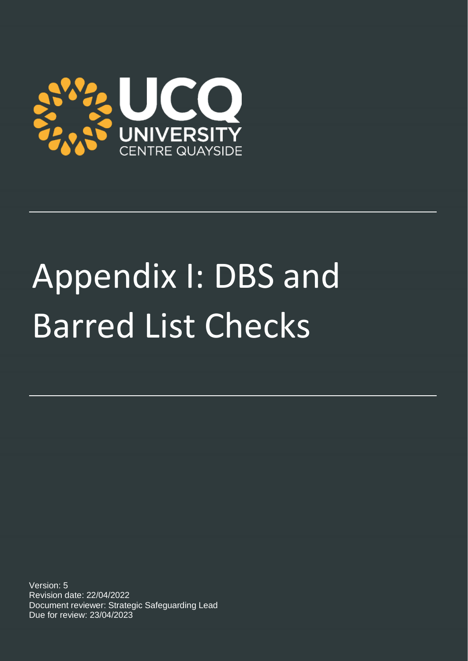

# Appendix I: DBS and Barred List Checks

Version: 5 Revision date: 22/04/2022 Document reviewer: Strategic Safeguarding Lead Due for review: 23/04/2023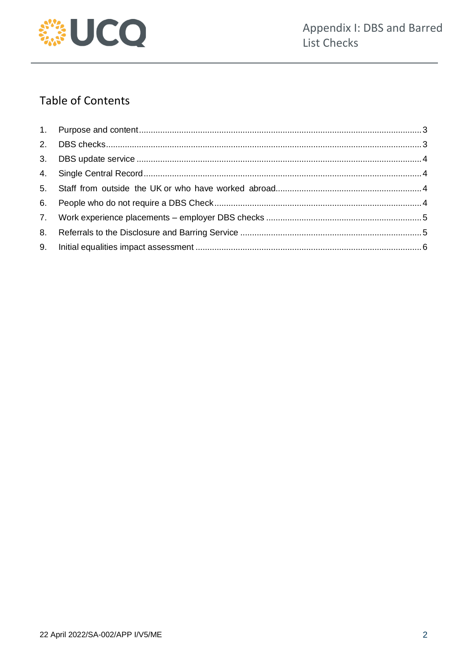

# **Table of Contents**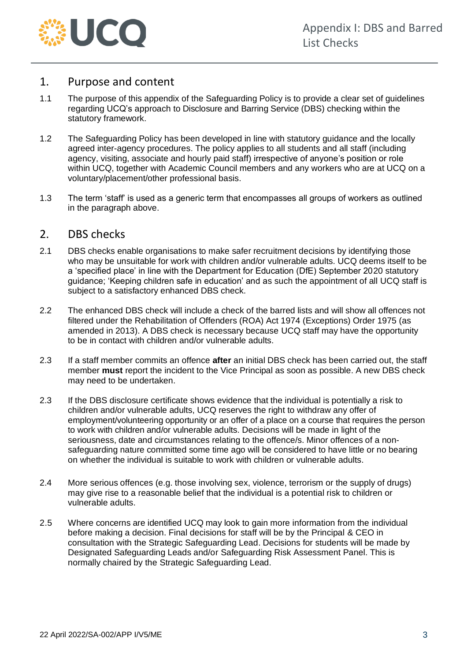

## <span id="page-2-0"></span>1. Purpose and content

- 1.1 The purpose of this appendix of the Safeguarding Policy is to provide a clear set of guidelines regarding UCQ's approach to Disclosure and Barring Service (DBS) checking within the statutory framework.
- 1.2 The Safeguarding Policy has been developed in line with statutory guidance and the locally agreed inter-agency procedures. The policy applies to all students and all staff (including agency, visiting, associate and hourly paid staff) irrespective of anyone's position or role within UCQ, together with Academic Council members and any workers who are at UCQ on a voluntary/placement/other professional basis.
- 1.3 The term 'staff' is used as a generic term that encompasses all groups of workers as outlined in the paragraph above.

#### <span id="page-2-1"></span>2. DBS checks

- 2.1 DBS checks enable organisations to make safer recruitment decisions by identifying those who may be unsuitable for work with children and/or vulnerable adults. UCQ deems itself to be a 'specified place' in line with the Department for Education (DfE) September 2020 statutory guidance; 'Keeping children safe in education' and as such the appointment of all UCQ staff is subject to a satisfactory enhanced DBS check.
- 2.2 The enhanced DBS check will include a check of the barred lists and will show all offences not filtered under the Rehabilitation of Offenders (ROA) Act 1974 (Exceptions) Order 1975 (as amended in 2013). A DBS check is necessary because UCQ staff may have the opportunity to be in contact with children and/or vulnerable adults.
- 2.3 If a staff member commits an offence **after** an initial DBS check has been carried out, the staff member **must** report the incident to the Vice Principal as soon as possible. A new DBS check may need to be undertaken.
- 2.3 If the DBS disclosure certificate shows evidence that the individual is potentially a risk to children and/or vulnerable adults, UCQ reserves the right to withdraw any offer of employment/volunteering opportunity or an offer of a place on a course that requires the person to work with children and/or vulnerable adults. Decisions will be made in light of the seriousness, date and circumstances relating to the offence/s. Minor offences of a nonsafeguarding nature committed some time ago will be considered to have little or no bearing on whether the individual is suitable to work with children or vulnerable adults.
- 2.4 More serious offences (e.g. those involving sex, violence, terrorism or the supply of drugs) may give rise to a reasonable belief that the individual is a potential risk to children or vulnerable adults.
- 2.5 Where concerns are identified UCQ may look to gain more information from the individual before making a decision. Final decisions for staff will be by the Principal & CEO in consultation with the Strategic Safeguarding Lead. Decisions for students will be made by Designated Safeguarding Leads and/or Safeguarding Risk Assessment Panel. This is normally chaired by the Strategic Safeguarding Lead.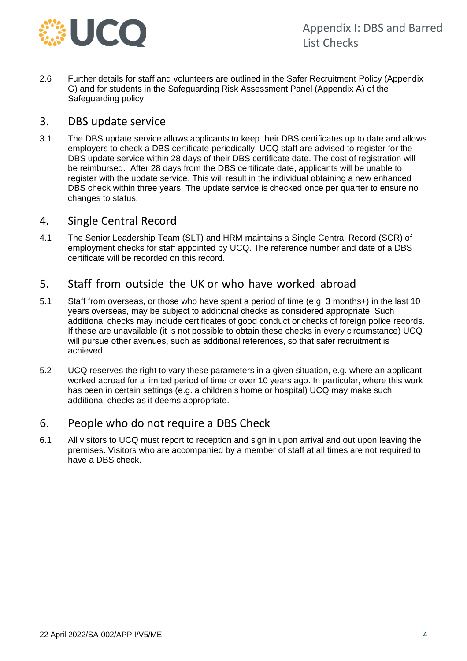

2.6 Further details for staff and volunteers are outlined in the Safer Recruitment Policy (Appendix G) and for students in the Safeguarding Risk Assessment Panel (Appendix A) of the Safeguarding policy.

## <span id="page-3-0"></span>3. DBS update service

3.1 The DBS update service allows applicants to keep their DBS certificates up to date and allows employers to check a DBS certificate periodically. UCQ staff are advised to register for the DBS update service within 28 days of their DBS certificate date. The cost of registration will be reimbursed. After 28 days from the DBS certificate date, applicants will be unable to register with the update service. This will result in the individual obtaining a new enhanced DBS check within three years. The update service is checked once per quarter to ensure no changes to status.

#### <span id="page-3-1"></span>4. Single Central Record

4.1 The Senior Leadership Team (SLT) and HRM maintains a Single Central Record (SCR) of employment checks for staff appointed by UCQ. The reference number and date of a DBS certificate will be recorded on this record.

## <span id="page-3-2"></span>5. Staff from outside the UK or who have worked abroad

- 5.1 Staff from overseas, or those who have spent a period of time (e.g. 3 months+) in the last 10 years overseas, may be subject to additional checks as considered appropriate. Such additional checks may include certificates of good conduct or checks of foreign police records. If these are unavailable (it is not possible to obtain these checks in every circumstance) UCQ will pursue other avenues, such as additional references, so that safer recruitment is achieved.
- 5.2 UCQ reserves the right to vary these parameters in a given situation, e.g. where an applicant worked abroad for a limited period of time or over 10 years ago. In particular, where this work has been in certain settings (e.g. a children's home or hospital) UCQ may make such additional checks as it deems appropriate.

## <span id="page-3-3"></span>6. People who do not require a DBS Check

6.1 All visitors to UCQ must report to reception and sign in upon arrival and out upon leaving the premises. Visitors who are accompanied by a member of staff at all times are not required to have a DBS check.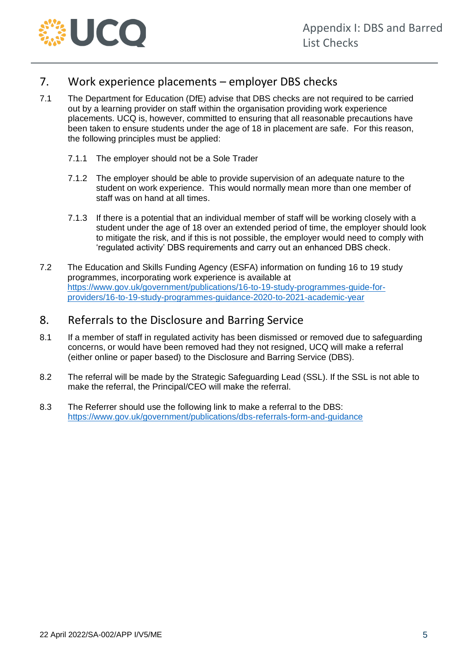

# <span id="page-4-0"></span>7. Work experience placements – employer DBS checks

- 7.1 The Department for Education (DfE) advise that DBS checks are not required to be carried out by a learning provider on staff within the organisation providing work experience placements. UCQ is, however, committed to ensuring that all reasonable precautions have been taken to ensure students under the age of 18 in placement are safe. For this reason, the following principles must be applied:
	- 7.1.1 The employer should not be a Sole Trader
	- 7.1.2 The employer should be able to provide supervision of an adequate nature to the student on work experience. This would normally mean more than one member of staff was on hand at all times.
	- 7.1.3 If there is a potential that an individual member of staff will be working closely with a student under the age of 18 over an extended period of time, the employer should look to mitigate the risk, and if this is not possible, the employer would need to comply with 'regulated activity' DBS requirements and carry out an enhanced DBS check.
- 7.2 The Education and Skills Funding Agency (ESFA) information on funding 16 to 19 study programmes, incorporating work experience is available at [https://www.gov.uk/government/publications/16-to-19-study-programmes-guide-for](https://www.gov.uk/government/publications/16-to-19-study-programmes-guide-for-providers/16-to-19-study-programmes-guidance-2020-to-2021-academic-year)[providers/16-to-19-study-programmes-guidance-2020-to-2021-academic-year](https://www.gov.uk/government/publications/16-to-19-study-programmes-guide-for-providers/16-to-19-study-programmes-guidance-2020-to-2021-academic-year)

# <span id="page-4-1"></span>8. Referrals to the Disclosure and Barring Service

- 8.1 If a member of staff in regulated activity has been dismissed or removed due to safeguarding concerns, or would have been removed had they not resigned, UCQ will make a referral (either online or paper based) to the Disclosure and Barring Service (DBS).
- 8.2 The referral will be made by the Strategic Safeguarding Lead (SSL). If the SSL is not able to make the referral, the Principal/CEO will make the referral.
- 8.3 The Referrer should use the following link to make a referral to the DBS: <https://www.gov.uk/government/publications/dbs-referrals-form-and-guidance>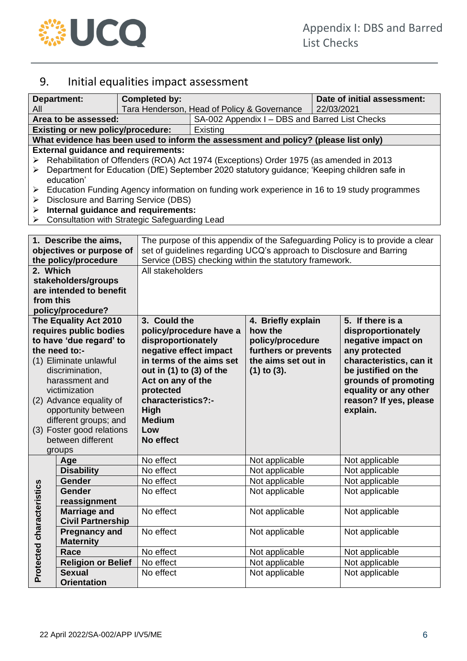

# <span id="page-5-0"></span>9. Initial equalities impact assessment

| <b>Department:</b>          |                                                                                                                                      | <b>Completed by:</b>                                                                        |                                                                                                                                                       |                      |  | Date of initial assessment: |  |  |  |
|-----------------------------|--------------------------------------------------------------------------------------------------------------------------------------|---------------------------------------------------------------------------------------------|-------------------------------------------------------------------------------------------------------------------------------------------------------|----------------------|--|-----------------------------|--|--|--|
| All<br>Area to be assessed: |                                                                                                                                      |                                                                                             | Tara Henderson, Head of Policy & Governance                                                                                                           |                      |  | 22/03/2021                  |  |  |  |
|                             |                                                                                                                                      |                                                                                             | SA-002 Appendix I - DBS and Barred List Checks                                                                                                        |                      |  |                             |  |  |  |
|                             | <b>Existing or new policy/procedure:</b><br>Existing                                                                                 |                                                                                             |                                                                                                                                                       |                      |  |                             |  |  |  |
|                             | What evidence has been used to inform the assessment and policy? (please list only)                                                  |                                                                                             |                                                                                                                                                       |                      |  |                             |  |  |  |
|                             | <b>External guidance and requirements:</b>                                                                                           |                                                                                             |                                                                                                                                                       |                      |  |                             |  |  |  |
| ➤<br>➤                      | Rehabilitation of Offenders (ROA) Act 1974 (Exceptions) Order 1975 (as amended in 2013                                               |                                                                                             |                                                                                                                                                       |                      |  |                             |  |  |  |
|                             |                                                                                                                                      | Department for Education (DfE) September 2020 statutory guidance; 'Keeping children safe in |                                                                                                                                                       |                      |  |                             |  |  |  |
|                             | education'                                                                                                                           |                                                                                             |                                                                                                                                                       |                      |  |                             |  |  |  |
| ➤<br>➤                      | Education Funding Agency information on funding work experience in 16 to 19 study programmes<br>Disclosure and Barring Service (DBS) |                                                                                             |                                                                                                                                                       |                      |  |                             |  |  |  |
| ➤                           |                                                                                                                                      | Internal guidance and requirements:                                                         |                                                                                                                                                       |                      |  |                             |  |  |  |
| ➤                           |                                                                                                                                      | <b>Consultation with Strategic Safeguarding Lead</b>                                        |                                                                                                                                                       |                      |  |                             |  |  |  |
|                             |                                                                                                                                      |                                                                                             |                                                                                                                                                       |                      |  |                             |  |  |  |
|                             | 1. Describe the aims,                                                                                                                |                                                                                             |                                                                                                                                                       |                      |  |                             |  |  |  |
|                             | objectives or purpose of                                                                                                             |                                                                                             | The purpose of this appendix of the Safeguarding Policy is to provide a clear<br>set of guidelines regarding UCQ's approach to Disclosure and Barring |                      |  |                             |  |  |  |
|                             | the policy/procedure                                                                                                                 |                                                                                             | Service (DBS) checking within the statutory framework.                                                                                                |                      |  |                             |  |  |  |
| 2. Which                    |                                                                                                                                      |                                                                                             | All stakeholders                                                                                                                                      |                      |  |                             |  |  |  |
|                             | stakeholders/groups                                                                                                                  |                                                                                             |                                                                                                                                                       |                      |  |                             |  |  |  |
|                             | are intended to benefit                                                                                                              |                                                                                             |                                                                                                                                                       |                      |  |                             |  |  |  |
| from this                   |                                                                                                                                      |                                                                                             |                                                                                                                                                       |                      |  |                             |  |  |  |
|                             | policy/procedure?                                                                                                                    |                                                                                             |                                                                                                                                                       |                      |  |                             |  |  |  |
|                             | The Equality Act 2010                                                                                                                | 3. Could the                                                                                | 5. If there is a<br>4. Briefly explain                                                                                                                |                      |  |                             |  |  |  |
|                             | requires public bodies                                                                                                               |                                                                                             | policy/procedure have a                                                                                                                               | how the              |  | disproportionately          |  |  |  |
|                             | to have 'due regard' to                                                                                                              | disproportionately                                                                          |                                                                                                                                                       | policy/procedure     |  | negative impact on          |  |  |  |
| the need to:-               |                                                                                                                                      | negative effect impact                                                                      |                                                                                                                                                       | furthers or prevents |  | any protected               |  |  |  |
| (1) Eliminate unlawful      |                                                                                                                                      |                                                                                             | in terms of the aims set                                                                                                                              | the aims set out in  |  | characteristics, can it     |  |  |  |
| discrimination,             |                                                                                                                                      | out in $(1)$ to $(3)$ of the                                                                |                                                                                                                                                       | $(1)$ to $(3)$ .     |  | be justified on the         |  |  |  |
| harassment and              |                                                                                                                                      | Act on any of the                                                                           |                                                                                                                                                       |                      |  | grounds of promoting        |  |  |  |
| victimization               |                                                                                                                                      | protected                                                                                   | equality or any other                                                                                                                                 |                      |  |                             |  |  |  |
| (2) Advance equality of     |                                                                                                                                      | characteristics?:-                                                                          |                                                                                                                                                       |                      |  | reason? If yes, please      |  |  |  |
| opportunity between         |                                                                                                                                      | High                                                                                        |                                                                                                                                                       |                      |  | explain.                    |  |  |  |
| different groups; and       |                                                                                                                                      | <b>Medium</b>                                                                               |                                                                                                                                                       |                      |  |                             |  |  |  |
| (3) Foster good relations   |                                                                                                                                      | Low                                                                                         |                                                                                                                                                       |                      |  |                             |  |  |  |
| between different           |                                                                                                                                      | No effect                                                                                   |                                                                                                                                                       |                      |  |                             |  |  |  |
|                             | groups                                                                                                                               |                                                                                             |                                                                                                                                                       |                      |  |                             |  |  |  |
|                             | Age                                                                                                                                  | No effect                                                                                   |                                                                                                                                                       | Not applicable       |  | Not applicable              |  |  |  |
|                             | <b>Disability</b>                                                                                                                    | No effect                                                                                   |                                                                                                                                                       | Not applicable       |  | Not applicable              |  |  |  |
|                             | <b>Gender</b>                                                                                                                        | No effect                                                                                   |                                                                                                                                                       | Not applicable       |  | Not applicable              |  |  |  |
|                             | Gender                                                                                                                               | No effect                                                                                   |                                                                                                                                                       | Not applicable       |  | Not applicable              |  |  |  |
|                             | reassignment                                                                                                                         |                                                                                             |                                                                                                                                                       |                      |  |                             |  |  |  |
|                             | <b>Marriage and</b>                                                                                                                  | No effect                                                                                   |                                                                                                                                                       | Not applicable       |  | Not applicable              |  |  |  |
|                             | <b>Civil Partnership</b>                                                                                                             |                                                                                             |                                                                                                                                                       |                      |  |                             |  |  |  |
|                             | <b>Pregnancy and</b>                                                                                                                 | No effect                                                                                   |                                                                                                                                                       | Not applicable       |  | Not applicable              |  |  |  |
| Protected characteristics   | <b>Maternity</b>                                                                                                                     |                                                                                             |                                                                                                                                                       |                      |  |                             |  |  |  |
|                             | Race                                                                                                                                 | No effect                                                                                   |                                                                                                                                                       | Not applicable       |  | Not applicable              |  |  |  |
|                             | <b>Religion or Belief</b>                                                                                                            | No effect                                                                                   |                                                                                                                                                       | Not applicable       |  | Not applicable              |  |  |  |
|                             | <b>Sexual</b>                                                                                                                        | No effect                                                                                   |                                                                                                                                                       | Not applicable       |  | Not applicable              |  |  |  |
|                             | <b>Orientation</b>                                                                                                                   |                                                                                             |                                                                                                                                                       |                      |  |                             |  |  |  |